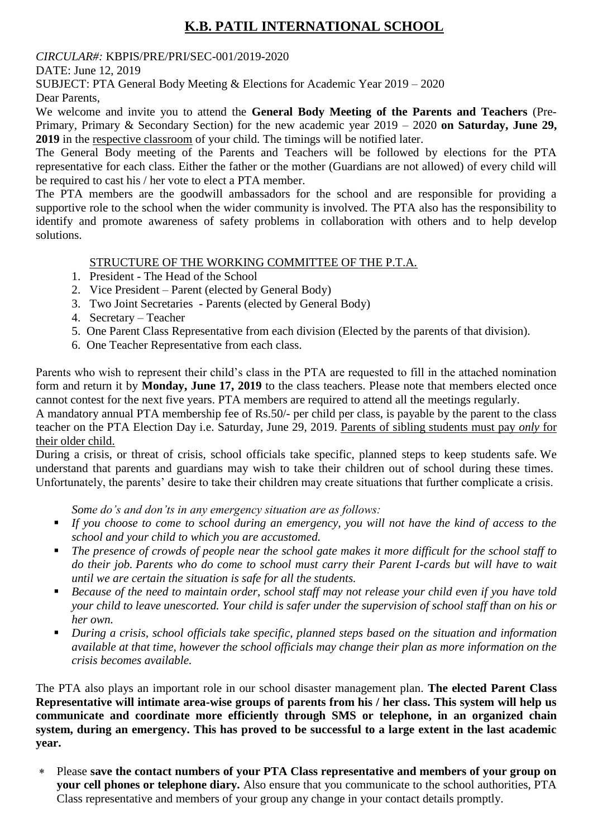## **K.B. PATIL INTERNATIONAL SCHOOL**

## *CIRCULAR#:* KBPIS/PRE/PRI/SEC-001/2019-2020

DATE: June 12, 2019

SUBJECT: PTA General Body Meeting & Elections for Academic Year 2019 – 2020

Dear Parents,

We welcome and invite you to attend the **General Body Meeting of the Parents and Teachers** (Pre-Primary, Primary & Secondary Section) for the new academic year 2019 – 2020 **on Saturday, June 29, 2019** in the respective classroom of your child. The timings will be notified later.

The General Body meeting of the Parents and Teachers will be followed by elections for the PTA representative for each class. Either the father or the mother (Guardians are not allowed) of every child will be required to cast his / her vote to elect a PTA member.

The PTA members are the goodwill ambassadors for the school and are responsible for providing a supportive role to the school when the wider community is involved. The PTA also has the responsibility to identify and promote awareness of safety problems in collaboration with others and to help develop solutions.

## STRUCTURE OF THE WORKING COMMITTEE OF THE P.T.A.

- 1. President The Head of the School
- 2. Vice President Parent (elected by General Body)
- 3. Two Joint Secretaries Parents (elected by General Body)
- 4. Secretary Teacher
- 5. One Parent Class Representative from each division (Elected by the parents of that division).
- 6. One Teacher Representative from each class.

Parents who wish to represent their child's class in the PTA are requested to fill in the attached nomination form and return it by **Monday, June 17, 2019** to the class teachers. Please note that members elected once cannot contest for the next five years. PTA members are required to attend all the meetings regularly.

A mandatory annual PTA membership fee of Rs.50/- per child per class, is payable by the parent to the class teacher on the PTA Election Day i.e. Saturday, June 29, 2019. Parents of sibling students must pay *only* for their older child.

During a crisis, or threat of crisis, school officials take specific, planned steps to keep students safe. We understand that parents and guardians may wish to take their children out of school during these times. Unfortunately, the parents' desire to take their children may create situations that further complicate a crisis.

*Some do's and don'ts in any emergency situation are as follows:*

- *If you choose to come to school during an emergency, you will not have the kind of access to the school and your child to which you are accustomed.*
- The presence of crowds of people near the school gate makes it more difficult for the school staff to *do their job. Parents who do come to school must carry their Parent I-cards but will have to wait until we are certain the situation is safe for all the students.*
- *Because of the need to maintain order, school staff may not release your child even if you have told your child to leave unescorted. Your child is safer under the supervision of school staff than on his or her own.*
- *During a crisis, school officials take specific, planned steps based on the situation and information available at that time, however the school officials may change their plan as more information on the crisis becomes available.*

The PTA also plays an important role in our school disaster management plan. **The elected Parent Class Representative will intimate area-wise groups of parents from his / her class. This system will help us communicate and coordinate more efficiently through SMS or telephone, in an organized chain system, during an emergency. This has proved to be successful to a large extent in the last academic year.**

 Please **save the contact numbers of your PTA Class representative and members of your group on your cell phones or telephone diary.** Also ensure that you communicate to the school authorities, PTA Class representative and members of your group any change in your contact details promptly.